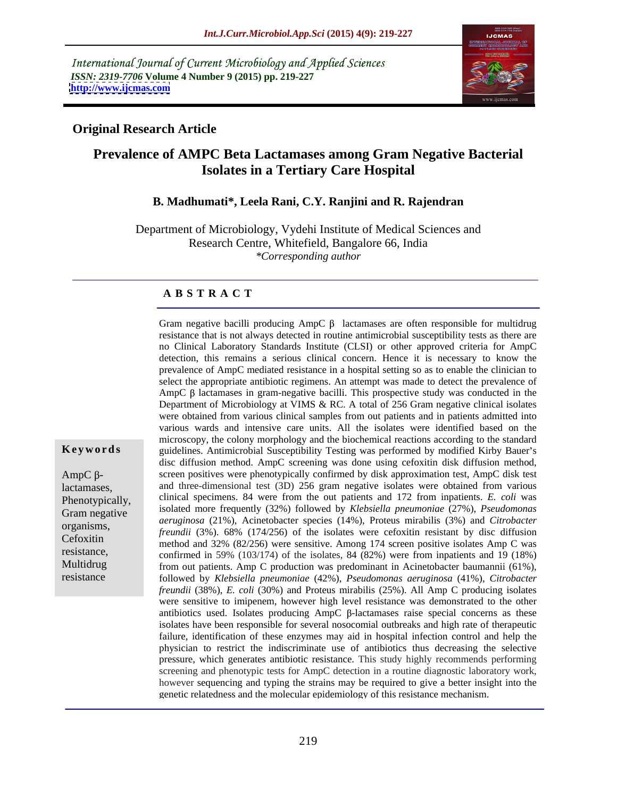International Journal of Current Microbiology and Applied Sciences *ISSN: 2319-7706* **Volume 4 Number 9 (2015) pp. 219-227 <http://www.ijcmas.com>**



## **Original Research Article**

## **Prevalence of AMPC Beta Lactamases among Gram Negative Bacterial Isolates in a Tertiary Care Hospital**

## **B. Madhumati\*, Leela Rani, C.Y. Ranjini and R. Rajendran**

Department of Microbiology, Vydehi Institute of Medical Sciences and Research Centre, Whitefield, Bangalore 66, India *\*Corresponding author*

## **A B S T R A C T**

Gram negative bacilli producing  $AmpC \beta$  lactamases are often responsible for multidrug resistance that is not always detected in routine antimicrobial susceptibility tests as there are no Clinical Laboratory Standards Institute (CLSI) or other approved criteria for AmpC detection, this remains a serious clinical concern. Hence it is necessary to know the prevalence of AmpC mediated resistance in a hospital setting so as to enable the clinician to select the appropriate antibiotic regimens. An attempt was made to detect the prevalence of AmpC  $\beta$  lactamases in gram-negative bacilli. This prospective study was conducted in the Department of Microbiology at VIMS & RC. A total of 256 Gram negative clinical isolates were obtained from various clinical samples from out patients and in patients admitted into various wards and intensive care units. All the isolates were identified based on the microscopy, the colony morphology and the biochemical reactions according to the standard Keywords guidelines. Antimicrobial Susceptibility Testing was performed by modified Kirby Bauer's disc diffusion method. AmpC screening was done using cefoxitin disk diffusion method,  $AmpC \beta$ - screen positives were phenotypically confirmed by disk approximation test,  $AmpC$  disk test and three-dimensional test (3D) 256 gram negative isolates were obtained from various lactamases, Phenotypically, clinical specimens. 84 were from the out patients and 172 from inpatients. *E. coli* was isolated more frequently (32%) followed by *Klebsiella pneumoniae* (27%), *Pseudomonas*  Gram negative *aeruginosa* (21%), Acinetobacter species (14%), Proteus mirabilis (3%) and *Citrobacter*  organisms, *deraginosa*  $(21\%)$ , Achietobacter species  $(14\%)$ , Froteus inflatons  $(3\%)$  and *curobacter*<br>Containing the isolates were cefoxitin resistant by disc diffusion method and 32% (82/256) were sensitive. Among 174 screen positive isolates Amp C was Cefoxitin resistance,<br>
confirmed in 59% (103/174) of the isolates, 84 (82%) were from inpatients and 19 (18%) Multidrug from out patients. Amp C production was predominant in Acinetobacter baumannii (61%), followed by *Klebsiella pneumoniae* (42%), *Pseudomonas aeruginosa* (41%), *Citrobacter freundii* (38%), *E. coli* (30%) and Proteus mirabilis (25%). All Amp C producing isolates were sensitive to imipenem, however high level resistance was demonstrated to the other antibiotics used. Isolates producing  $AmpC$   $\beta$ -lactamases raise special concerns as these isolates have been responsible for several nosocomial outbreaks and high rate of therapeutic failure, identification of these enzymes may aid in hospital infection control and help the physician to restrict the indiscriminate use of antibiotics thus decreasing the selective pressure, which generates antibiotic resistance. This study highly recommends performing screening and phenotypic tests for AmpC detection in a routine diagnostic laboratory work, however sequencing and typing the strains may be required to give a better insight into the genetic relatedness and the molecular epidemiology of this resistance mechanism.

resistance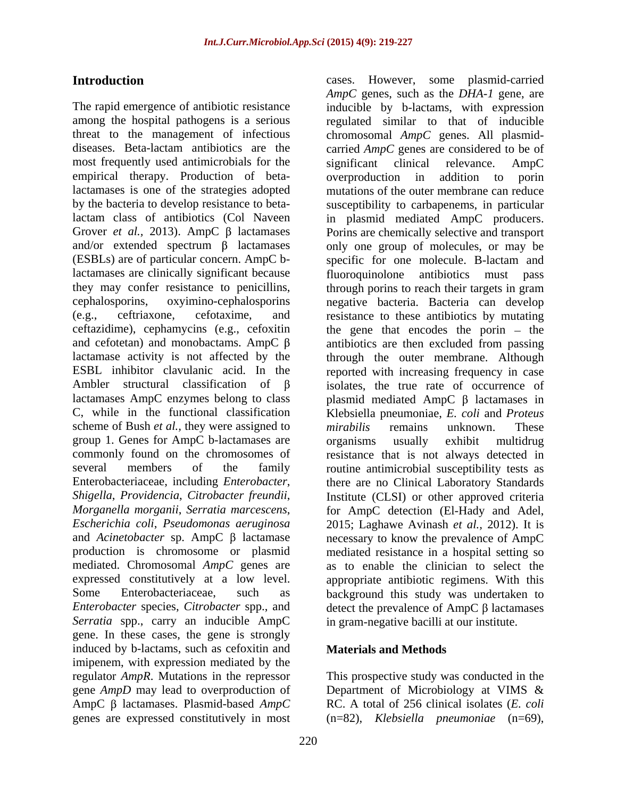among the hospital pathogens is a serious regulated similar to that of inducible threat to the management of infectious chromosomal *AmpC* genes. All plasmid diseases. Beta-lactam antibiotics are the carried *AmpC* genes are considered to be of most frequently used antimicrobials for the significant clinical relevance. AmpC empirical therapy. Production of beta-<br>overproduction in addition to porin lactamases is one of the strategies adopted by the bacteria to develop resistance to beta-susceptibility to carbapenems, in particular lactam class of antibiotics (Col Naveen in plasmid mediated AmpC producers. Grover *et al.*, 2013). AmpC  $\beta$  lactamases Porins are chemically selective and transport and/or extended spectrum  $\beta$  lactamases only one group of molecules, or may be (ESBLs) are of particular concern. AmpC b-specific for one molecule. B-lactam and lactamases are clinically significant because fluoroquinolone they may confer resistance to penicillins, through porins to reach their targets in gram cephalosporins, oxyimino-cephalosporins negative bacteria. Bacteria can develop (e.g., ceftriaxone, cefotaxime, and resistance to these antibiotics by mutating ceftazidime), cephamycins (e.g., cefoxitin the gene that encodes the porin – the and cefotetan) and monobactams. AmpC  $\beta$  antibiotics are then excluded from passing lactamase activity is not affected by the through the outer membrane. Although ESBL inhibitor clavulanic acid. In the reported with increasing frequency in case Ambler structural classification of  $\beta$  isolates, the true rate of occurrence of lactamases AmpC enzymes belong to class  $\qquad \qquad$  plasmid mediated AmpC  $\beta$  lactamases in C, while in the functional classification Klebsiella pneumoniae, *E. coli* and *Proteus*  scheme of Bush *et al.*, they were assigned to *mirabilis* remains unknown. These group 1. Genes for AmpC b-lactamases are commonly found on the chromosomes of resistance that is not always detected in several members of the family routine antimicrobial susceptibility tests as Enterobacteriaceae, including *Enterobacter*, there are no Clinical Laboratory Standards *Shigella*, *Providencia*, *Citrobacter freundii*, Institute (CLSI) or other approved criteria *Morganella morganii*, *Serratia marcescens*, *Escherichia coli*, *Pseudomonas aeruginosa* and *Acinetobacter* sp. AmpC  $\beta$  lactamase necessary to know the prevalence of AmpC production is chromosome or plasmid mediated resistance in a hospital setting so mediated. Chromosomal *AmpC* genes are as to enable the clinician to select the expressed constitutively at a low level. appropriate antibiotic regimens. With this Some Enterobacteriaceae, such as background this study was undertaken to *Enterobacter* species, *Citrobacter* spp., and  $\qquad$  detect the prevalence of AmpC  $\beta$  lactamases *Serratia* spp., carry an inducible AmpC gene. In these cases, the gene is strongly induced by b-lactams, such as cefoxitin and imipenem, with expression mediated by the regulator *AmpR*. Mutations in the repressor This prospective study was conducted in the gene *AmpD* may lead to overproduction of Department of Microbiology at VIMS & AmpC β lactamases. Plasmid-based *AmpC* RC. A total of 256 clinical isolates (*E. coli* 

220

**Introduction** cases. However, some plasmid-carried The rapid emergence of antibiotic resistance inducible by b-lactams, with expression *AmpC* genes, such as the *DHA-1* gene, are significant clinical relevance. AmpC overproduction in addition to porin mutations of the outer membrane can reduce antibiotics must pass *mirabilis* remains unknown. These organisms usually exhibit multidrug for AmpC detection (El-Hady and Adel, 2015; Laghawe Avinash *et al.,* 2012). It is in gram-negative bacilli at our institute.

## **Materials and Methods**

genes are expressed constitutively in most (n=82), *Klebsiella pneumoniae* (n=69),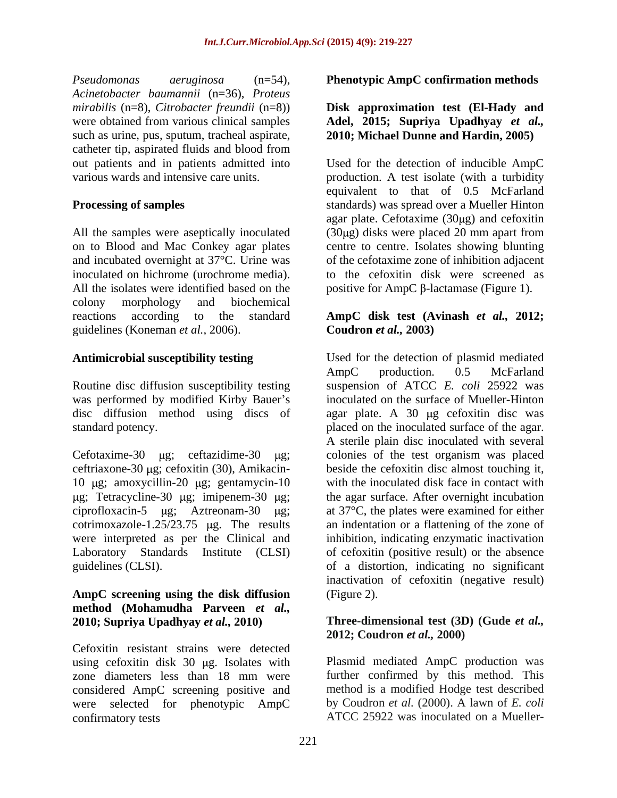*Pseudomonas aeruginosa* (n=54), **Phenotypic AmpC confirmation methods** *Acinetobacter baumannii* (n=36), *Proteus mirabilis* (n=8), *Citrobacter freundii* (n=8)) **Disk approximation test (El-Hady and** were obtained from various clinical samples **Adel, 2015; Supriya Upadhyay** *et al.*, such as urine, pus, sputum, tracheal aspirate, catheter tip, aspirated fluids and blood from

and incubated overnight at 37°C. Urine was colony morphology and biochemical reactions according to the standard **AmpC disk test (Avinash** *et al.,* **2012;** guidelines (Koneman *et al.,* 2006).

Routine disc diffusion susceptibility testing

ceftriaxone-30 µg; cefoxitin (30), Amikacincotrimoxazole-1.25/23.75  $\mu$ g. The results guidelines (CLSI).

## **AmpC screening using the disk diffusion method (Mohamudha Parveen** *et al.,* **2010; Supriya Upadhyay** *et al.,* **2010) Three-dimensional test (3D) (Gude** *et al.,*

Cefoxitin resistant strains were detected using cefoxitin disk 30 µg. Isolates with zone diameters less than 18 mm were considered AmpC screening positive and were selected for phenotypic AmpC confirmatory tests ATCC 25922 was inoculated on a Mueller-

# **2010; Michael Dunne and Hardin, 2005)**

out patients and in patients admitted into Used for the detection of inducible AmpC various wards and intensive care units. production. A test isolate (with a turbidity **Processing of samples** standards) was spread over a Mueller Hinton All the samples were aseptically inoculated (30µg) disks were placed 20 mm apart from on to Blood and Mac Conkey agar plates centre to centre. Isolates showing blunting inoculated on hichrome (urochrome media). to the cefoxitin disk were screened as All the isolates were identified based on the  $\qquad \qquad$  positive for AmpC  $\beta$ -lactamase (Figure 1). equivalent to that of 0.5 McFarland agar plate. Cefotaxime  $(30\mu g)$  and cefoxitin of the cefotaxime zone of inhibition adjacent

## **Coudron** *et al.,* **2003)**

**Antimicrobial susceptibility testing** Used for the detection of plasmid mediated was performed by modified Kirby Bauer's inoculated on the surface of Mueller-Hinton disc diffusion method using discs of agar plate. A 30 µg cefoxitin disc was standard potency. placed on the inoculated surface of the agar. Cefotaxime-30  $\mu$ g; ceftazidime-30  $\mu$ g; colonies of the test organism was placed 10 μg; amoxycillin-20 μg; gentamycin-10 with the inoculated disk face in contact with g; Tetracycline-30 µg; imipenem-30 µg; the agar surface. After overnight incubation ciprofloxacin-5  $\mu$ g; Aztreonam-30  $\mu$ g; at 37°C, the plates were examined for either were interpreted as per the Clinical and inhibition, indicating enzymatic inactivation Laboratory Standards Institute (CLSI) of cefoxitin (positive result) or the absence AmpC production. 0.5 McFarland suspension of ATCC *E. coli* 25922 was A sterile plain disc inoculated with several beside the cefoxitin disc almost touching it, an indentation or a flattening of the zone of of a distortion, indicating no significant inactivation of cefoxitin (negative result) (Figure 2).

## **2012; Coudron** *et al.,* **2000)**

Plasmid mediated AmpC production was further confirmed by this method. This method is a modified Hodge test described by Coudron *et al.* (2000). A lawn of *E. coli*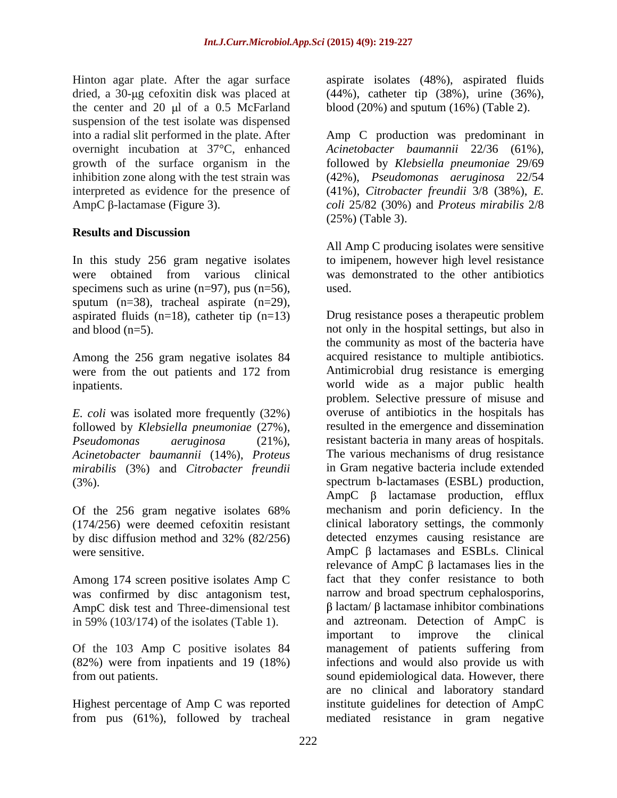the center and  $20 \mu l$  of a 0.5 McFarland suspension of the test isolate was dispensed

## **Results and Discussion**

In this study 256 gram negative isolates to imipenem, however high level resistance were obtained from various clinical was demonstrated to the other antibiotics specimens such as urine  $(n=97)$ , pus  $(n=56)$ , used. sputum (n=38), tracheal aspirate (n=29), aspirated fluids  $(n=18)$ , catheter tip  $(n=13)$ 

Among the 256 gram negative isolates 84

*E. coli* was isolated more frequently (32%) followed by *Klebsiella pneumoniae* (27%), *Acinetobacter baumannii* (14%), *Proteus mirabilis* (3%) and *Citrobacter freundii*

(174/256) were deemed cefoxitin resistant

Among 174 screen positive isolates Amp C AmpC disk test and Three-dimensional test in 59% (103/174) of the isolates (Table 1).

Hinton agar plate. After the agar surface aspirate isolates (48%), aspirated fluids dried, a 30-µg cefoxitin disk was placed at (44%), catheter tip (38%), urine (36%), blood (20%) and sputum (16%) (Table 2).

into a radial slit performed in the plate. After Amp C production was predominant in overnight incubation at 37°C, enhanced *Acinetobacter baumannii* 22/36 (61%), growth of the surface organism in the followed by *Klebsiella pneumoniae* 29/69 inhibition zone along with the test strain was (42%), *Pseudomonas aeruginosa* 22/54 interpreted as evidence for the presence of (41%), *Citrobacter freundii* 3/8 (38%), *E.*  AmpC β-lactamase (Figure 3). coli 25/82 (30%) and *Proteus mirabilis* 2/8 (25%) (Table 3).

> All Amp C producing isolates were sensitive was demonstrated to the other antibiotics used. The contract of the contract of the contract of the contract of the contract of the contract of the contract of the contract of the contract of the contract of the contract of the contract of the contract of the cont

and blood (n=5). not only in the hospital settings, but also in were from the out patients and 172 from Antimicrobial drug resistance is emerging inpatients. world wide as a major public health *Pseudomonas aeruginosa* (21%), resistant bacteria in many areas of hospitals. (3%). spectrum b-lactamases (ESBL) production, Of the 256 gram negative isolates 68% mechanism and porin deficiency. In the by disc diffusion method and 32% (82/256) were sensitive.  $\Delta mpc \beta$  lactamases and ESBLs. Clinical was confirmed by disc antagonism test, narrow and broad spectrum cephalosporins, Of the 103 Amp C positive isolates 84 management of patients suffering from (82%) were from inpatients and 19 (18%) infections and would also provide us with from out patients. sound epidemiological data. However, there Highest percentage of Amp C was reported institute guidelines for detection of AmpC from pus (61%), followed by tracheal mediated resistance in gram negativeDrug resistance poses a therapeutic problem the community as most of the bacteria have acquired resistance to multiple antibiotics. problem. Selective pressure of misuse and overuse of antibiotics in the hospitals has resulted in the emergence and dissemination The various mechanisms of drug resistance in Gram negative bacteria include extended  $AmpC$   $\beta$  lactamase production, efflux mechanism and porin deficiency. In the clinical laboratory settings, the commonly detected enzymes causing resistance are relevance of AmpC  $\beta$  lactamases lies in the fact that they confer resistance to both  $\beta$  lactam/ $\beta$  lactamase inhibitor combinations and aztreonam. Detection of AmpC is important to improve the clinical are no clinical and laboratory standard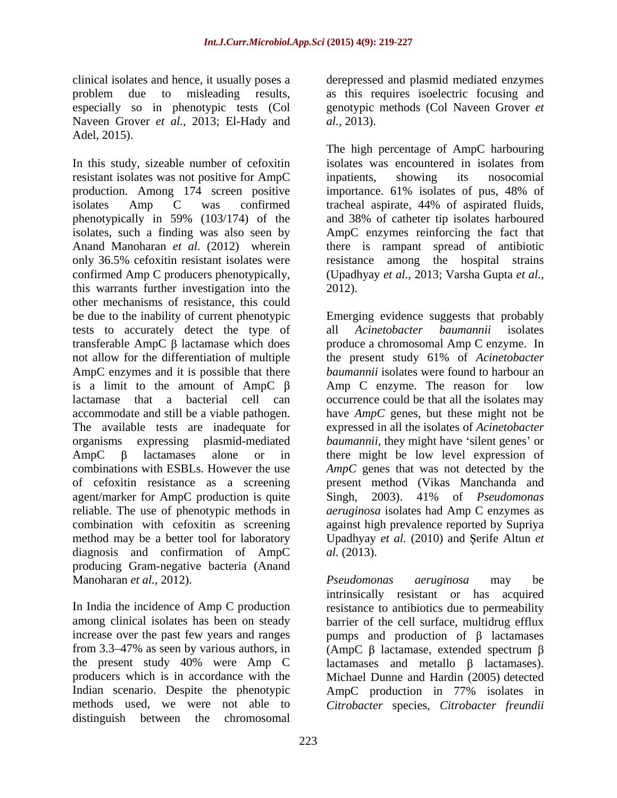especially so in phenotypic tests (Col genotypic Naveen Grover et al., 2013; El-Hady and al., 2013). Naveen Grover *et al.,* 2013; El-Hady and Adel, 2015).

In this study, sizeable number of cefoxitin isolates was encountered in isolates from resistant isolates was not positive for AmpC production. Among 174 screen positive importance. 61% isolates of pus, 48% of isolates Amp C was confirmed tracheal aspirate, 44% of aspirated fluids, phenotypically in 59% (103/174) of the and 38% of catheter tip isolates harboured isolates, such a finding was also seen by AmpC enzymes reinforcing the fact that Anand Manoharan *et al.* (2012) wherein there is rampant spread of antibiotic only 36.5% cefoxitin resistant isolates were resistance among the hospital strains confirmed Amp C producers phenotypically, this warrants further investigation into the other mechanisms of resistance, this could be due to the inability of current phenotypic Emerging evidence suggests that probably tests to accurately detect the type of all Acinetobacter baumannii isolates is a limit to the amount of  $AmpC \beta$  Amp C enzyme. The reason for low agent/marker for AmpC production is quite Singh, 2003). 41% of *Pseudomonas* reliable. The use of phenotypic methods in *aeruginosa* isolates had Amp C enzymes as diagnosis and confirmation of AmpC *al.* (2013). producing Gram-negative bacteria (Anand

producers which is in accordance with the Indian scenario. Despite the phenotypic AmpC production in 77% isolates in methods used, we were not able to *Citrobacter* species, *Citrobacter freundii*distinguish between the chromosomal

clinical isolates and hence, it usually poses a derepressed and plasmid mediated enzymes problem due to misleading results, as this requires isoelectric focusing and genotypic methods (Col Naveen Grover *et al.,* 2013).

> The high percentage of AmpC harbouring isolates was encountered in isolates from inpatients, showing its nosocomial importance. 61% isolates of pus, 48% of (Upadhyay *et al.,* 2013; Varsha Gupta *et al.,*

transferable  $AmpC \beta$  lactamase which does produce a chromosomal  $Amp C$  enzyme. In not allow for the differentiation of multiple the present study 61% of *Acinetobacter*  AmpC enzymes and it is possible that there *baumannii* isolates were found to harbour an lactamase that a bacterial cell can occurrence could be that all the isolates may accommodate and still be a viable pathogen. have *AmpC* genes, but these might not be The available tests are inadequate for expressed in all the isolates of *Acinetobacter*  organisms expressing plasmid-mediated *baumannii*, they might have 'silent genes' or  $AmpC$   $\beta$  lactamases alone or in there might be low level expression of combinations with ESBLs. However the use *AmpC* genes that was not detected by the of cefoxitin resistance as a screening present method (Vikas Manchanda and reliable. The use of phenotypic methods in *aeruginosa* isolates had Amp C enzymes as combination with cefoxitin as screening against high prevalence reported by Supriya method may be a better tool for laboratory Upadhyay *et al.* (2010) and Şerife Altun *et* 2012).<br>Emerging evidence suggests that probably all *Acinetobacter baumannii* isolates Amp  $C$  enzyme. The reason for Singh, 2003). 41% of *Pseudomonas al.* (2013).

Manoharan *et al.,* 2012). In India the incidence of Amp C production essistance to antibiotics due to permeability among clinical isolates has been on steady barrier of the cell surface, multidrug efflux increase over the past few years and ranges  $\mu$  pumps and production of  $\beta$  lactamases from 3.3–47% as seen by various authors, in  $\langle \text{AmpC } \beta \rangle$  lactamase, extended spectrum  $\beta$ the present study 40% were Amp C actamases and metallo  $\beta$  lactamases). *Pseudomonas aeruginosa* may be intrinsically resistant or has acquired Michael Dunne and Hardin (2005) detected AmpC production in 77% isolates in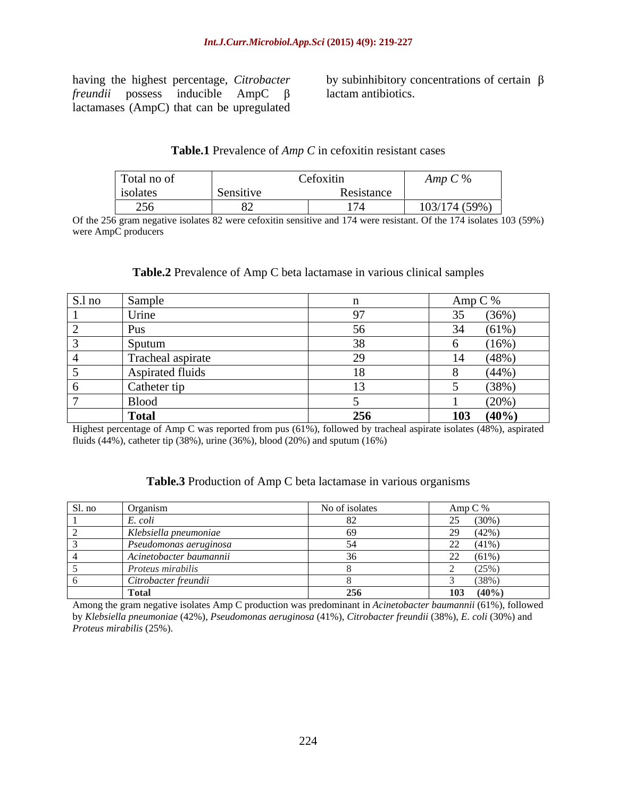*freundii* possess inducible  $AmpC$   $\beta$  lactam antibiotics. lactamases (AmpC) that can be upregulated

having the highest percentage, *Citrobacter*  by subinhibitory concentrations of certain lactam antibiotics.

## **Table.1** Prevalence of *Amp C* in cefoxitin resistant cases

| Total no of                  |           | Cefoxitin  | $\cdots$ $\vdots$ |
|------------------------------|-----------|------------|-------------------|
| isolates                     | Sensitive | Resistance |                   |
| $\sim$ $\sim$ $\sim$<br>$ -$ |           | 174        | 103/174 (59%)     |

Of the 256 gram negative isolates 82 were cefoxitin sensitive and 174 were resistant. Of the 174 isolates 103 (59%) were AmpC producers **and the set of the set of the set of the set of the set of the set of the set of the set of the set of the set of the set of the set of the set of the set of the set of the set of the set of the set of** 

## **Table.2** Prevalence of Amp C beta lactamase in various clinical samples

| S.l no | Sample            |     | Amp C $%$             |
|--------|-------------------|-----|-----------------------|
|        | Urine             |     | (36%)<br>$\Omega$     |
| ┕      | Pus               |     | $(61\%)$<br>34<br>. س |
|        | Sputum            |     | (16%)                 |
|        | Tracheal aspirate | ററ  | (48%)<br>14           |
|        | Aspirated fluids  | 18  | (44%)                 |
| ν      | Catheter tip      |     | (38%)                 |
|        | <b>Blood</b>      |     | (20%)                 |
|        | <b>Total</b>      | 256 | (40%<br>103           |

Highest percentage of Amp C was reported from pus (61%), followed by tracheal aspirate isolates (48%), aspirated fluids (44%), catheter tip (38%), urine (36%), blood (20%) and sputum (16%)

## **Table.3** Production of Amp C beta lactamase in various organisms

| $\sim$ $\sim$<br>Sl. no | Organism                | No of isolates | Amp C %                  |
|-------------------------|-------------------------|----------------|--------------------------|
|                         | $\mathbf{r}$<br>E. coli |                | $(30\%)$<br>$\sim$<br>رے |
|                         | Klebsiella pneumoniae   |                | (42%<br>$\sim$<br>---    |
|                         | Pseudomonas aeruginosa  |                | $(41\%)$<br>$\sim$<br>44 |
|                         | Acinetobacter baumannii |                | $(61\%)$<br>$\sim$<br>44 |
|                         | Proteus mirabilis       |                | (25%                     |
|                         | Citrobacter freundii    |                | (38%                     |
|                         | <b>Total</b>            | 256            | (40%<br>103              |

Among the gram negative isolates Amp C production was predominant in *Acinetobacter baumannii* (61%), followed by *Klebsiella pneumoniae* (42%), *Pseudomonas aeruginosa* (41%), *Citrobacter freundii* (38%), *E. coli* (30%) and *Proteus mirabilis* (25%).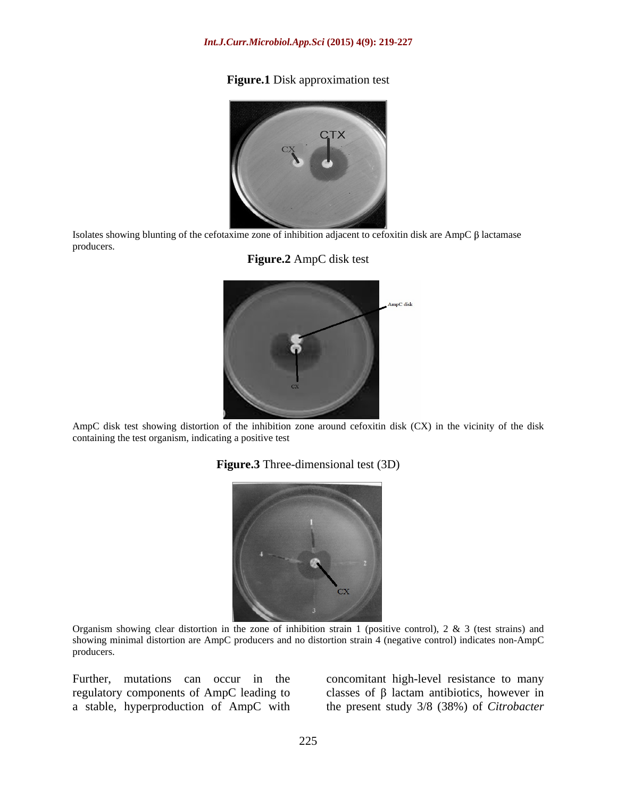## **Figure.1** Disk approximation test



Isolates showing blunting of the cefotaxime zone of inhibition adjacent to cefoxitin disk are AmpC  $\beta$  lactamase producers.





 AmpC disk test showing distortion of the inhibition zone around cefoxitin disk (CX) in the vicinity of the disk containing the test organism, indicating a positive test

**Figure.3** Three-dimensional test (3D)



Organism showing clear distortion in the zone of inhibition strain 1 (positive control),  $2 \& 3$  (test strains) and showing minimal distortion are AmpC producers and no distortion strain 4 (negative control) indicates non-AmpC producers. The contract of the contract of the contract of the contract of the contract of the contract of the contract of the contract of the contract of the contract of the contract of the contract of the contract of the

Further, mutations can occur in the concomitant high-level resistance to many regulatory components of AmpC leading to  $\Box$  classes of  $\beta$  lactam antibiotics, however in a stable, hyperproduction of AmpC with the present study 3/8 (38%) of *Citrobacter*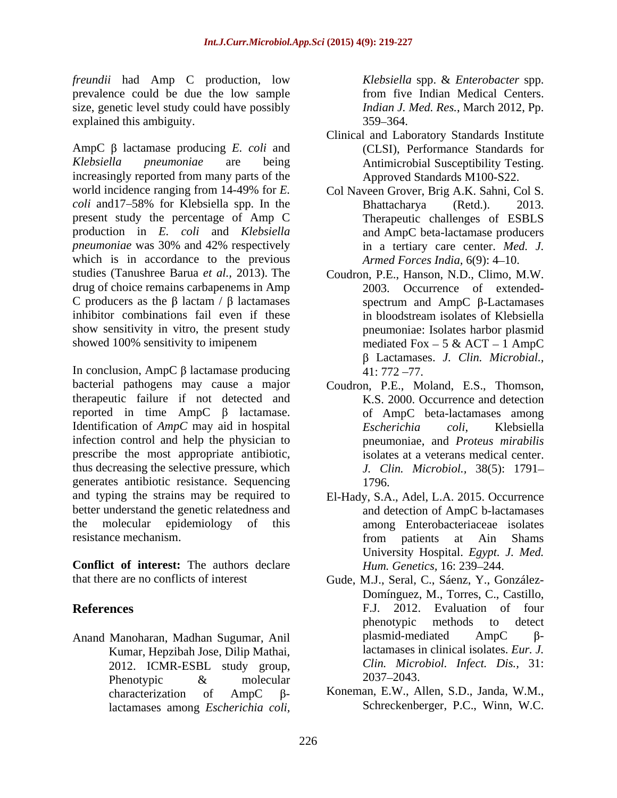*freundii* had Amp C production, low *Klebsiella spp. & Enterobacter spp.* prevalence could be due the low sample size, genetic level study could have possibly explained this ambiguity.  $359-364$ .

AmpC  $\beta$  lactamase producing *E. coli* and *Klebsiella pneumoniae* are being Antimicrobial Susceptibility Testing. increasingly reported from many parts of the *coli* and 17–58% for Klebsiella spp. In the Bhattacharya (Retd.). 2013. present study the percentage of Amp C production in *E. coli* and *Klebsiella*  which is in accordance to the previous studies (Tanushree Barua *et al.,* 2013). The drug of choice remains carbapenems in Amp C producers as the  $\beta$  lactam /  $\beta$  lactamases spectrum and AmpC  $\beta$ -Lactamases inhibitor combinations fail even if these in bloodstream isolates of Klebsiella show sensitivity in vitro, the present study showed 100% sensitivity to imipenem mediated  $Fox - 5 & ACT - 1$  AmpC lacta Accores and Argume **Escherichia Escherichia Escherichia colis,** *Klebsiella <b>Colis, Klebsiella Colis, <i>Klebsiella Colis, Escherichia Colis, Coligensis Coliseo and Escherical Content* 

In conclusion, AmpC  $\beta$  lactamase producing 41: 772 -77. bacterial pathogens may cause a major Coudron, P.E., Moland, E.S., Thomson, therapeutic failure if not detected and reported in time  $AmpC \, \beta$  lactamase. Identification of *AmpC* may aid in hospital *Escherichia coli*, Klebsiella infection control and help the physician to prescribe the most appropriate antibiotic, thus decreasing the selective pressure, which generates antibiotic resistance. Sequencing and typing the strains may be required to better understand the genetic relatedness and the molecular epidemiology of this among Enterobacteriaceae isolates resistance mechanism. The resistance mechanism. The resistance mechanism. The resistance mechanism of  $\overline{r}$  at  $\overline{r}$  at  $\overline{r}$  at  $\overline{r}$  at  $\overline{r}$  at  $\overline{r}$  at  $\overline{r}$  at  $\overline{r}$  at  $\overline{r}$  at  $\overline{r}$  at

**Conflict of interest:** The authors declare

Kumar, Hepzibah Jose, Dilip Mathai, 2012. ICMR-ESBL study group,  $Clin.$  Microsoften Clin. 2037–2043. Phenotypic  $\&$  molecular  $2037-2043$ .

from five Indian Medical Centers. *Indian J. Med. Res.*, March 2012, Pp.  $359 - 364.$ 

- Clinical and Laboratory Standards Institute (CLSI), Performance Standards for Approved Standards M100-S22.
- world incidence ranging from 14-49% for *E.*  Col Naveen Grover, Brig A.K. Sahni, Col S. *pneumoniae* was 30% and 42% respectively in a tertiary care center. *Med. J.* Bhattacharya (Retd.). 2013. Therapeutic challenges of ESBLS and AmpC beta-lactamase producers in a tertiary care center. *Med. J. Armed Forces India,* 6(9): 4-10.
	- Coudron, P.E., Hanson, N.D., Climo, M.W. 2003. Occurrence of extended spectrum and  $AmpC$   $\beta$ -Lactamases in bloodstream isolates of Klebsiella pneumoniae: Isolates harbor plasmid mediated Fox  $-5 \&$  ACT  $-1$  AmpC Lactamases. *J. Clin. Microbial.,*  $41: 772 - 77.$
	- K.S. 2000. Occurrence and detection of AmpC beta-lactamases among *Escherichia coli*, Klebsiella pneumoniae, and *Proteus mirabilis* isolates at a veterans medical center. *J. Clin. Microbiol.,* 38(5): 1791 1796.
	- El-Hady, S.A., Adel, L.A. 2015. Occurrence and detection of AmpC b-lactamases from patients at Ain Shams University Hospital. *Egypt. J. Med. Hum. Genetics, 16: 239-244.*
- that there are no conflicts of interest Gude, M.J., Seral, C., Sáenz, Y., González- **References** F.J. 2012. Evaluation of four Anand Manoharan, Madhan Sugumar, Anil plasmid-mediated AmpC  $\beta$ -Domínguez, M., Torres, C., Castillo, phenotypic methods to detect plasmid-mediated  $AmpC$   $\beta$ lactamases in clinical isolates. *Eur. J. Clin. Microbiol. Infect. Dis.,* 31: 2037 2043.
	- characterization of AmpC  $\beta$  Koneman, E.W., Allen, S.D., Janda, W.M., Koneman, E.W., Allen, S.D., Janda, W.M., Schreckenberger, P.C., Winn, W.C.